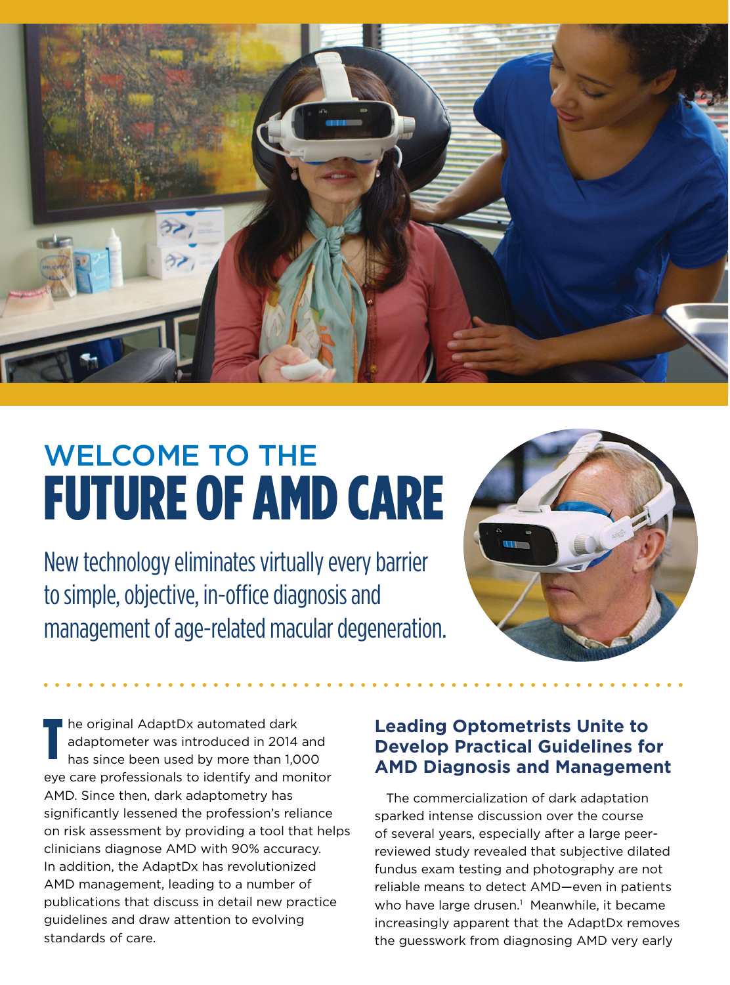

## WELCOME TO THE FUTURE OF AMD CARE

New technology eliminates virtually every barrier to simple, objective, in-office diagnosis and management of age-related macular degeneration.



he original AdaptDx automated dark adaptometer was introduced in 2014 and has since been used by more than 1,000 eye care professionals to identify and monitor AMD. Since then, dark adaptometry has significantly lessened the profession's reliance on risk assessment by providing a tool that helps clinicians diagnose AMD with 90% accuracy. In addition, the AdaptDx has revolutionized AMD management, leading to a number of publications that discuss in detail new practice guidelines and draw attention to evolving standards of care. T

## **Leading Optometrists Unite to Develop Practical Guidelines for AMD Diagnosis and Management**

The commercialization of dark adaptation sparked intense discussion over the course of several years, especially after a large peerreviewed study revealed that subjective dilated fundus exam testing and photography are not reliable means to detect AMD—even in patients who have large drusen.<sup>1</sup> Meanwhile, it became increasingly apparent that the AdaptDx removes the guesswork from diagnosing AMD very early